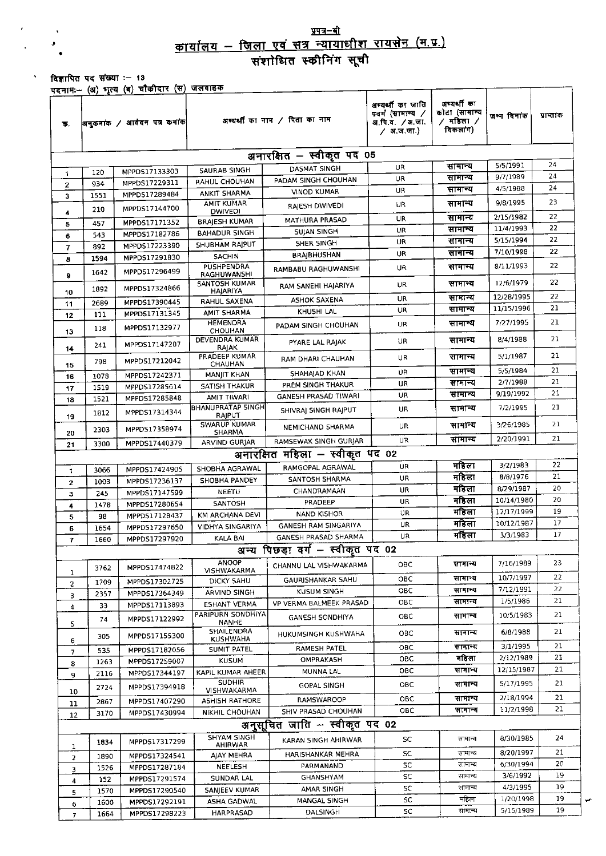## <u>प्रपत्र–बी</u>

विज्ञापित पद संख्या :- 13 .<br>एडनामः- (अ) भृत्य (ब) चौकीदार (स) जलवाहक

 $\ddot{\phantom{1}}$ 

| क.                              |      | <u>עיט יירוידייר (</u> יין ויעד (ש) – פורא<br>अनुरूमांक / आवेदन पत्र कर्माक | - - - - - -                          | अभ्यर्थी का नाम / पिता का नाम    | अभ्यर्थी का जाति<br>पवर्ग (सामान्य /<br>अ.पि.व. ⁄अ.जा.<br>⁄ अ.ज.जा.) | अभ्यर्थी का<br>कोटा (सामान्य<br>∕ मडिला ∕<br>विकलांग) | जन्म दिनांक | पाप्तांक |  |  |  |
|---------------------------------|------|-----------------------------------------------------------------------------|--------------------------------------|----------------------------------|----------------------------------------------------------------------|-------------------------------------------------------|-------------|----------|--|--|--|
| अनारक्षित – स्वीकृत पद 05       |      |                                                                             |                                      |                                  |                                                                      |                                                       |             |          |  |  |  |
| 1.                              | 120  | MPPDS17133303                                                               | SAURAB SINGH                         | DASMAT SINGH                     | UR                                                                   | सामान्य                                               | 5/5/1991    | 24<br>24 |  |  |  |
| $\mathbf{2}$                    | 934  | MPPDS17229311                                                               | RAHUL CHOUHAN                        | PADAM SINGH CHOUHAN              | UR                                                                   | सामान्य                                               | 9/7/1989    | 24       |  |  |  |
| з                               | 1551 | MPPD517289484                                                               | ANKIT SHARMA                         | <b>VINOD KUMAR</b>               | UR                                                                   | सामान्य                                               | 4/5/1988    |          |  |  |  |
|                                 | 210  | MPPDS17144700                                                               | <b>AMIT KUMAR</b><br><b>DWIVEDI</b>  | RAIESH DWIVEDI                   | UR                                                                   | सामान्य                                               | 9/8/1995    | 23       |  |  |  |
| 4<br>5                          | 457  | MPPDS17171352                                                               | <b>BRAIESH KUMAR</b>                 | <b>MATHURA PRASAD</b>            | UP.                                                                  | सामान्य                                               | 2/15/1982   | 22       |  |  |  |
| 6                               | 543  | MPPDS17182786                                                               | <b>BAHADUR SINGH</b>                 | <b>SUJAN SINGH</b>               | UR                                                                   | सामान्य                                               | 11/4/1993   | 22       |  |  |  |
| 7                               | 892  | MPPDS17223390                                                               | SHUBHAM RAJPUT                       | SHER SINGH                       | UR                                                                   | सामान्य                                               | 5/15/1994   | 22       |  |  |  |
| 8                               | 1594 | MPPDS17291830                                                               | <b>SACHIN</b>                        | <b>BRAJBHUSHAN</b>               | UR                                                                   | सामान्य                                               | 7/10/1998   | 22       |  |  |  |
|                                 | 1642 | MPPD517296499                                                               | <b>PUSHPENDRA</b><br>RAGHUWANSHI     | RAMBABU RAGHUWANSHI              | UR                                                                   | सानान्य                                               | 8/11/1993   | 22       |  |  |  |
| 9                               |      |                                                                             | SANTOSH KUMAR                        | RAM SANEHI HAJARIYA              | UR                                                                   | सामान्य                                               | 12/6/1979   | 22       |  |  |  |
| 10                              | 1892 | MPPDS17324866                                                               | HAJARIYA                             |                                  | UR                                                                   | सामान्य                                               | 12/28/1995  | 22       |  |  |  |
| 11                              | 2689 | MPPDS17390445                                                               | RAHUL SAXENA                         | ASHOK SAXENA<br>KHUSHI LAL       | UR                                                                   | सामान्य                                               | 11/15/1996  | 21       |  |  |  |
| 12                              | 111  | MPPDS17131345                                                               | AMIT SHARMA<br><b>HEMENDRA</b>       |                                  |                                                                      | सामान्य                                               | 7/27/1995   | 21       |  |  |  |
| 13                              | 118  | MPPDS17132977                                                               | CHOUHAN                              | PADAM SINGH CHOUHAN              | <b>UR</b>                                                            |                                                       |             |          |  |  |  |
| 14                              | 241  | MPPDS17147207                                                               | DEVENDRA KUMAR<br>RAJAK              | PYARE LAL RAJAK                  | UR                                                                   | सामान्य                                               | 8/4/1988    | 21       |  |  |  |
| 15                              | 798  | MPPD517212042                                                               | PRADEEP KUMAR<br>CHAUHAN             | RAM DHARI CHAUHAN                | <b>UR</b>                                                            | सानान्य                                               | 5/1/1987    | 21       |  |  |  |
| 16                              | 1078 | MPPDS17242371                                                               | MANIIT KHAN                          | SHAHAJAD KHAN                    | UR                                                                   | सामान्य                                               | 5/5/1984    | 21       |  |  |  |
| 17                              | 1519 | MPPDS17285614                                                               | <b>SATISH THAKUR</b>                 | PREM SINGH THAKUR                | UR.                                                                  | सामान्य                                               | 2/7/1988    | 21       |  |  |  |
| 18                              | 1521 | MPPD517285848                                                               | AMIT TIWARI                          | GANESH PRASAD TIWARI             | UR.                                                                  | सामान्य                                               | 9/19/1992   | 21       |  |  |  |
| 19                              | 1812 | MPPD517314344                                                               | <b>BHANUPRATAP SINGH</b><br>RAJPUT   | SHIVRAI SINGH RAJPUT             | UR                                                                   | सामान्य                                               | 7/2/1995    | 21       |  |  |  |
| 20                              | 2303 | MPPDS17358974                                                               | SWARUP KUMAR<br><b>SHARMA</b>        | NEMICHAND SHARMA                 | UR                                                                   | सामान्य                                               | 3/26/1985   | 21       |  |  |  |
| 21                              | 3300 | MPPDS17440379                                                               | ARVIND GURJAR                        | RAMSEWAK SINGH GURJAR            | <b>UR</b>                                                            | सामान्य                                               | 2/20/1991   | 21       |  |  |  |
| अनारक्षित महिला – स्वीकृत पद 02 |      |                                                                             |                                      |                                  |                                                                      |                                                       |             |          |  |  |  |
| $\mathbf{t}$                    | 3066 | MPPDS17424905                                                               | SHOBHA AGRAWAL                       | RAMGOPAL AGRAWAL                 | UR.                                                                  | महिला                                                 | 3/2/1983    | 22       |  |  |  |
| $\mathbf{z}$                    | 1003 | MPPDS17236137                                                               | SHOBHA PANDEY                        | SANTOSH SHARMA                   | UR                                                                   | महिला                                                 | 8/8/1976    | 21       |  |  |  |
| з                               | 245  | MPPDS17147599                                                               | <b>NEETU</b>                         | CHANDRAMAAN                      | UR                                                                   | महिला                                                 | 8/29/1987   | 20       |  |  |  |
| 4                               | 1478 | MPPDS17280654                                                               | SANTOSH                              | PRADEEP                          | UR                                                                   | महिला                                                 | 10/14/1980  | 20       |  |  |  |
| 5                               | 98   | MPPD517128437                                                               | KM ARCHANA DEVI                      | <b>NAND KISHOR</b>               | UR                                                                   | महिला                                                 | 12/17/1999  | 19       |  |  |  |
| 6                               | 1654 | MPPDS17297650                                                               | <b>VIDHYA SINGARIYA</b>              | GANESH RAM SINGARIYA             | UR                                                                   | महिला                                                 | 10/12/1987  | 17<br>17 |  |  |  |
| $\mathbf{7}$                    | 1660 | MPPD517297920                                                               | KALA BAI                             | GANESH PRASAD SHARMA             | UR                                                                   | महिला                                                 | 3/3/1983    |          |  |  |  |
|                                 |      |                                                                             |                                      | अन्य पिछड़ा वर्ग - स्वीकृत पद 02 |                                                                      |                                                       |             |          |  |  |  |
|                                 | 3762 | MPPDS17474822                                                               | <b>ANOOP</b><br>VISHWAKARMA          | CHANNU LAL VISHWAKARMA           | ОВС                                                                  | सामान्य                                               | 7/16/1989   | 23.      |  |  |  |
| 1<br>$\overline{2}$             | 1709 | MPPDS17302725                                                               | DICKY SAHU                           | GAURISHANKAR SAHU                | OBC                                                                  | सामान्य                                               | 10/7/1997   | 22       |  |  |  |
| з.                              | 2357 | MPPD517364349                                                               | ARVIND SINGH                         | KUSUM SINGH                      | OBC                                                                  | सामान्य                                               | 7/12/1991   | 22       |  |  |  |
| 4                               | 33   | MPPDS17113893                                                               | <b>ESHANT VERMA</b>                  | VP VERMA BALMEEK PRASAD          | овс                                                                  | सामान्य                                               | 1/5/1986    | 21       |  |  |  |
| 5.                              | 74   | MPPD517122992                                                               | PARIPURN SONDHIYA<br><b>NANHE</b>    | <b>GANESH SONDHIYA</b>           | овс                                                                  | सामान्य                                               | 10/5/1983   | 21       |  |  |  |
| 6                               | 305  | MPPD517155300                                                               | <b>SHAILENDRA</b><br><b>KUSHWAHA</b> | HUKUMSINGH KUSHWAHA              | овс                                                                  | सामान्य                                               | 6/8/1988    | 21       |  |  |  |
| 7                               | 535  | MPPDS17182056                                                               | SUMIT PATEL                          | RAMESH PATEL                     | овс                                                                  | सामान्य                                               | 3/1/1995    | 21       |  |  |  |
| 8                               | 1263 | MPPDS17259007                                                               | KUSUM                                | OMPRAKASH                        | овс                                                                  | महिला                                                 | 2/12/1989   | 21       |  |  |  |
| 9                               | 2116 | MPPD517344197                                                               | KAPIL KUMAR AHEER                    | MUNNA LAL                        | овс                                                                  | सामान्य                                               | 12/15/1987  | 21       |  |  |  |
| 10                              | 2724 | MPPDS17394918                                                               | <b>SUDHIR</b><br>VISHWAKARMA         | <b>GOPAL SINGH</b>               | OBC                                                                  | सामान्य                                               | 5/17/1995   | 21       |  |  |  |
| 11                              | 2867 | MPPDS17407290                                                               | <b>ASHISH RATHORE</b>                | RAMSWAROOP                       | OBC                                                                  | सामान्य                                               | 2/18/1994   | 21       |  |  |  |
| 12                              | 3170 | MPPDS17430994                                                               | <b>NIKHIL CHOUHAN</b>                | SHIV PRASAD CHOUHAN              | OBC.                                                                 | सामान्य                                               | 11/2/1998   | 21       |  |  |  |
| अनुसूचित जाति - स्वीकृत पद 02   |      |                                                                             |                                      |                                  |                                                                      |                                                       |             |          |  |  |  |
| ı                               | 1834 | MPPD517317299                                                               | <b>SHYAM SINGH</b><br>AHIRWAR        | KARAN SINGH AHIRWAR              | SC.                                                                  | सामान्य                                               | 8/30/1985   | 24       |  |  |  |
| 2                               | 1890 | MPPD517324541                                                               | AJAY MEHRA                           | HARISHANKAR MEHRA                | SC.                                                                  | सामान्य                                               | 8/20/1997   | 21       |  |  |  |
| 3                               | 1526 | MPPD517287184                                                               | <b>NEELESH</b>                       | PARMANAND                        | SC.                                                                  | सामान्य                                               | 6/30/1994   | 20       |  |  |  |
| 4                               | 152  | MPPD517291574                                                               | SUNDAR LAL                           | GHANSHYAM                        | SC.                                                                  | सामान्य                                               | 3/6/1992    | 19       |  |  |  |
| 5                               | 1570 | MPPD517290540                                                               | SANJEEV KUMAR                        | AMAR SINGH                       | SC                                                                   | सामान्य                                               | 4/3/1995    | 19       |  |  |  |
| 6                               | 1600 | MPPDS17292191                                                               | ASHA GADWAL                          | MANGAL SINGH                     | SC                                                                   | महिला                                                 | 1/20/1998   | 19       |  |  |  |
| $\overline{7}$                  | 1664 | MPPDS17298223                                                               | HARPRASAD                            | DALSINGH                         | SC                                                                   | सामान्य                                               | 5/15/1989   | 19       |  |  |  |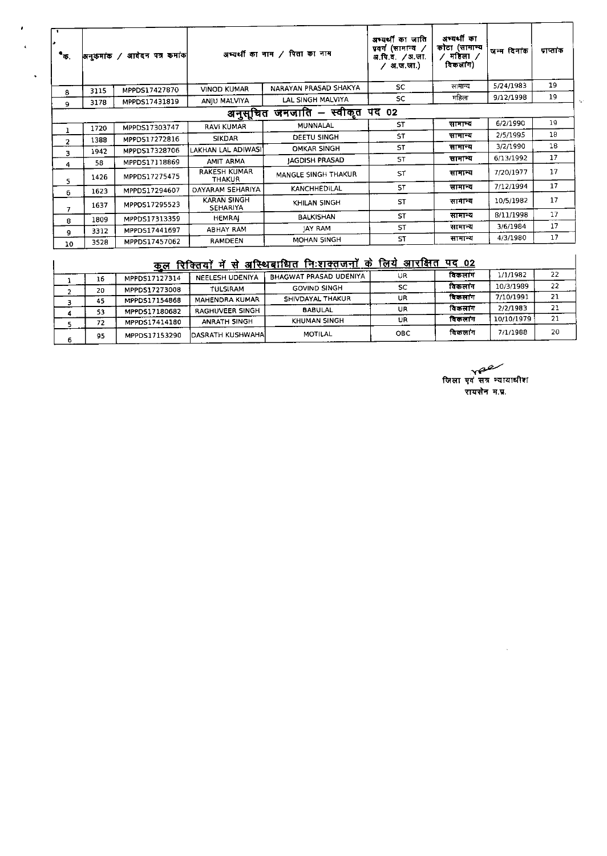| ٦.<br>٠<br>$\bullet_{\overline{\Phi}$ . |      | अनुकमांक / आवेदन पत्र कमांक | अभ्यर्थी का नाम / पिता का नाम  |                       | अभ्यर्थी का जाति<br>प्रवर्ग (सामान्य ⁄<br>अ.पि.व. / अ.जा.<br>∕ अ.ज.जा.) | अभ्यर्थी का<br>कोटा (सामान्य<br>महिला ⁄<br>विकलांग) | जन्म दिनांक | प्राप्तांक |
|-----------------------------------------|------|-----------------------------|--------------------------------|-----------------------|-------------------------------------------------------------------------|-----------------------------------------------------|-------------|------------|
| 8                                       | 3115 | MPPDS17427870               | VINOD KUMAR                    | NARAYAN PRASAD SHAKYA | <b>SC</b>                                                               | सामान्य                                             | 5/24/1983   | 19         |
| 9                                       | 3178 | MPPDS17431819               | ANIU MALVIYA                   | LAL SINGH MALVIYA     | <b>SC</b>                                                               | महिला                                               | 9/12/1998   | 19         |
| जनजाति – स्वीकृत पद 02<br>अनुसूचित      |      |                             |                                |                       |                                                                         |                                                     |             |            |
|                                         | 1720 | MPPDS17303747               | RAVI KUMAR                     | MUNNALAL              | <b>ST</b>                                                               | सामान्य                                             | 6/2/1990    | 19         |
|                                         | 1383 | MPPDS17272816               | <b>SIKDAR</b>                  | DEETU SINGH           | ST                                                                      | सामान्य                                             | 2/5/1995    | 18         |
| 2                                       | 1942 | MPPDS17328706               | LAKHAN LAL ADIWASI'            | <b>OMKAR SINGH</b>    | ST.                                                                     | सामान्य                                             | 3/2/1990    | 18         |
| 3                                       | 58   | MPPDS17118869               | AMIT ARMA                      | <b>IAGDISH PRASAD</b> | <b>ST</b>                                                               | सामान्य                                             | 6/13/1992   | 17         |
| 4<br>5                                  | 1426 | MPPDS17275475               | RAKESH KUMAR<br><b>THAKUR</b>  | MANGLE SINGH THAKUR   | ST                                                                      | सामान्य                                             | 7/20/1977   | 17         |
| 6                                       | 1623 | MPPDS17294607               | DAYARAM SEHARIYA               | <b>KANCHHEDILAL</b>   | <b>ST</b>                                                               | सामान्य                                             | 7/12/1994   | 17         |
| $\overline{ }$                          | 1637 | MPPD517295523               | <b>KARAN SINGH</b><br>SEHARIYA | KHILAN SINGH          | <b>ST</b>                                                               | सानान्य                                             | 10/5/1982   | 17         |
| 8                                       | 1809 | MPPDS17313359               | <b>HEMRAI</b>                  | <b>BALKISHAN</b>      | <b>ST</b>                                                               | सामान्य                                             | 8/11/1998   | 17         |
| 9                                       | 3312 | MPPDS17441697               | ABHAY RAM                      | <b>JAY RAM</b>        | <b>ST</b>                                                               | सामान्य                                             | 3/6/1984    | 17         |
| <b>TO</b>                               | 3528 | MPPDS17457062               | <b>RAMDEEN</b>                 | MOHAN 5INGH           | <b>ST</b>                                                               | सामान्य                                             | 4/3/1980    | 17         |

ï

 $\ddot{\phantom{0}}$ 

## <u>कूल रिक्तियों में से अस्थिबाधित निःशक्तजनों के लिये आरक्षित पद 02</u>

| <u>रिक्तियों में से अस्थिबाधित निःशक्तजनों के लिये आरक्षित</u><br>पद 02<br>कल |    |               |                       |                        |     |         |            |    |  |
|-------------------------------------------------------------------------------|----|---------------|-----------------------|------------------------|-----|---------|------------|----|--|
|                                                                               | 16 | MPPDS17127314 | NEELESH UDENIYA       | BHAGWAT PRASAD UDENIYA | UR  | विकलांग | 1/1/1982   | 22 |  |
|                                                                               | 20 | MPPDS17273008 | <b>TULSIRAM</b>       | <b>GOVIND SINGH</b>    | sc  | विकलांग | 10/3/1989  | 22 |  |
|                                                                               | 45 | MPPDS17154868 | <b>MAHENDRA KUMAR</b> | SHIVDAYAL THAKUR       | UR  | विकलांग | 7/10/1991  | 21 |  |
|                                                                               | 53 | MPPD517180682 | RAGHUVEER SINGH       | <b>BABULAL</b>         | UR  | विकलांग | 2/2/1983   | 21 |  |
|                                                                               | 72 | MPPDS17414180 | ANRATH SINGH          | KHUMAN SINGH           | UR  | विकलाग  | 10/10/1979 | 21 |  |
| 6                                                                             | 95 | MPPDS17153290 | IDASRATH KUSHWAHAI    | MOTILAL                | OBC | विकलांग | 7/1/1988   | 20 |  |

्<br>जिला एवं सत्र न्यायाधीश रायसेन म.प्र.

 $\ddot{\phantom{a}}$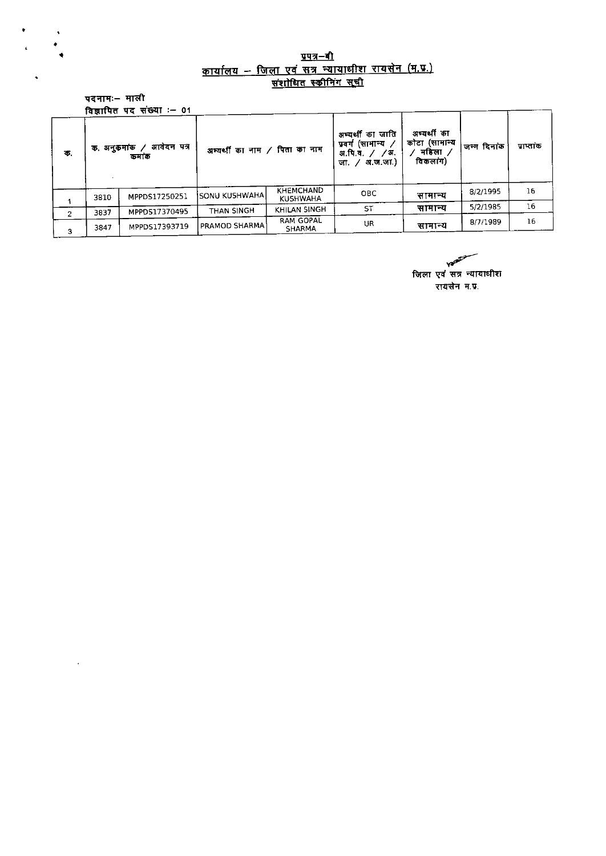## <u>प्रपत्र–बी</u><br><u>कार्यालय – जिला एवं सत्र न्यायाधीश रायसेन (म.प्र.)</u><br><u>संशोधित स्कीनिंग सुची</u>

पदनामः– माली  $T = 01$ للباس المتعال

 $\frac{1}{2}$ 

 $\mathcal{L}^{\mathcal{A}}$ 

 $\hat{\mathbf{z}}$ 

|               |              | ावज्जाापत पद सख्या ≔ ∪ा |                               |                                     |                                                                           |                                                  |             |                 |
|---------------|--------------|-------------------------|-------------------------------|-------------------------------------|---------------------------------------------------------------------------|--------------------------------------------------|-------------|-----------------|
| – 15.         | क. अनुकर्माक | आवेदन पत्र<br>কমাক      | अभ्यर्थी का नाम / पिता का नाम |                                     | अम्यर्थी का जाति<br>प्रवर्ग (सामान्य /<br>अ.पि.व. / /अ.<br>अजजा)<br>जा. ⁄ | अम्यर्थी का<br>कोटा (सामान्य<br>महिला<br>विकलाग) | जन्म दिनांक | पाप्तांक        |
|               | 3810         | MPPDS17250251           | <b>ISONU KUSHWAHAI</b>        | <b>KHEMCHAND</b><br><b>KUSHWAHA</b> | OBC.                                                                      | सामान्य                                          | 8/2/1995    | 16              |
| $\mathcal{P}$ | 3837         | MPPD517370495           | THAN SINGH                    | KHILAN SINGH                        | <b>ST</b>                                                                 | सामान्य                                          | 5/2/1985    | 16 <sub>1</sub> |
| 3             | 3847         | MPPD517393719           | PRAMOD SHARMA                 | <b>RAM GOPAL</b><br>SHARMA          | UR.                                                                       | सामान्य                                          | 8/7/1989    | 16              |

**VERY** 

जिला एवं सत्र न्यायाधीश रायसेन म.प्र.